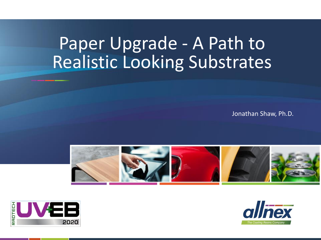# Paper Upgrade - A Path to Realistic Looking Substrates

Jonathan Shaw, Ph.D.





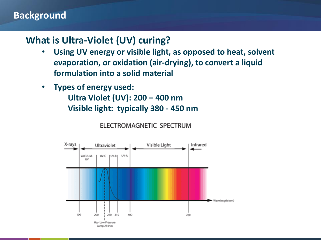#### **Background**

#### **What is Ultra-Violet (UV) curing?**

- **Using UV energy or visible light, as opposed to heat, solvent evaporation, or oxidation (air-drying), to convert a liquid formulation into a solid material**
- **Types of energy used: Ultra Violet (UV): 200 – 400 nm**

**Visible light: typically 380 - 450 nm**

ELECTROMAGNETIC SPECTRUM

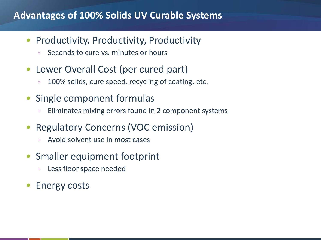#### **Advantages of 100% Solids UV Curable Systems**

- Productivity, Productivity, Productivity
	- Seconds to cure vs. minutes or hours
- Lower Overall Cost (per cured part)
	- 100% solids, cure speed, recycling of coating, etc.
- Single component formulas
	- Eliminates mixing errors found in 2 component systems
- Regulatory Concerns (VOC emission)
	- Avoid solvent use in most cases
- Smaller equipment footprint
	- Less floor space needed
- Energy costs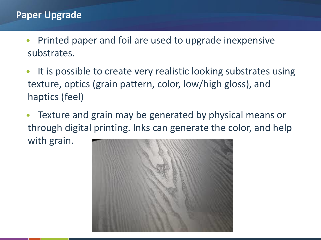#### **Paper Upgrade**

- Printed paper and foil are used to upgrade inexpensive substrates.
- It is possible to create very realistic looking substrates using texture, optics (grain pattern, color, low/high gloss), and haptics (feel)
- Texture and grain may be generated by physical means or through digital printing. Inks can generate the color, and help with grain.

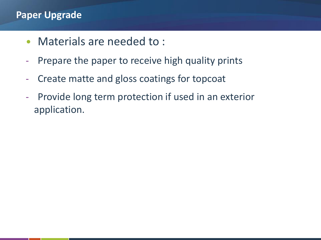#### **Paper Upgrade**

- Materials are needed to :
- Prepare the paper to receive high quality prints
- Create matte and gloss coatings for topcoat
- Provide long term protection if used in an exterior application.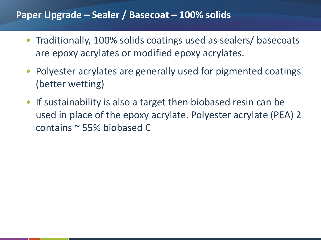#### **Paper Upgrade – Sealer / Basecoat – 100% solids**

- Traditionally, 100% solids coatings used as sealers/ basecoats are epoxy acrylates or modified epoxy acrylates.
- Polyester acrylates are generally used for pigmented coatings (better wetting)
- If sustainability is also a target then biobased resin can be used in place of the epoxy acrylate. Polyester acrylate (PEA) 2 contains ~ 55% biobased C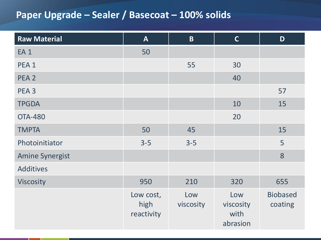# **Paper Upgrade – Sealer / Basecoat – 100% solids**

| <b>Raw Material</b>    | $\mathbf{A}$                    | $\overline{B}$   | $\mathsf{C}$                         | D                          |
|------------------------|---------------------------------|------------------|--------------------------------------|----------------------------|
| <b>EA1</b>             | 50                              |                  |                                      |                            |
| PEA <sub>1</sub>       |                                 | 55               | 30                                   |                            |
| PEA <sub>2</sub>       |                                 |                  | 40                                   |                            |
| PEA <sub>3</sub>       |                                 |                  |                                      | 57                         |
| <b>TPGDA</b>           |                                 |                  | 10                                   | 15                         |
| <b>OTA-480</b>         |                                 |                  | 20                                   |                            |
| <b>TMPTA</b>           | 50                              | 45               |                                      | 15                         |
| Photoinitiator         | $3 - 5$                         | $3 - 5$          |                                      | 5                          |
| <b>Amine Synergist</b> |                                 |                  |                                      | 8                          |
| <b>Additives</b>       |                                 |                  |                                      |                            |
| <b>Viscosity</b>       | 950                             | 210              | 320                                  | 655                        |
|                        | Low cost,<br>high<br>reactivity | Low<br>viscosity | Low<br>viscosity<br>with<br>abrasion | <b>Biobased</b><br>coating |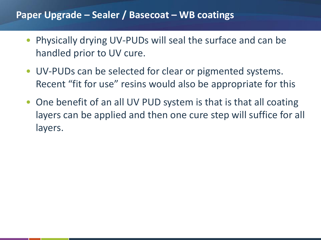#### **Paper Upgrade – Sealer / Basecoat – WB coatings**

- Physically drying UV-PUDs will seal the surface and can be handled prior to UV cure.
- UV-PUDs can be selected for clear or pigmented systems. Recent "fit for use" resins would also be appropriate for this
- One benefit of an all UV PUD system is that is that all coating layers can be applied and then one cure step will suffice for all layers.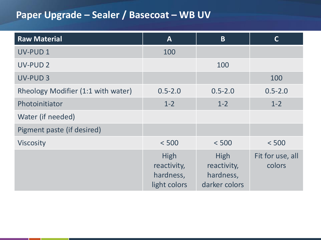# **Paper Upgrade – Sealer / Basecoat – WB UV**

| <b>Raw Material</b>                | $\mathbf{A}$                                     | B                                                 | $\mathsf{C}$               |
|------------------------------------|--------------------------------------------------|---------------------------------------------------|----------------------------|
| UV-PUD 1                           | 100                                              |                                                   |                            |
| <b>UV-PUD 2</b>                    |                                                  | 100                                               |                            |
| UV-PUD 3                           |                                                  |                                                   | 100                        |
| Rheology Modifier (1:1 with water) | $0.5 - 2.0$                                      | $0.5 - 2.0$                                       | $0.5 - 2.0$                |
| Photoinitiator                     | $1 - 2$                                          | $1 - 2$                                           | $1 - 2$                    |
| Water (if needed)                  |                                                  |                                                   |                            |
| Pigment paste (if desired)         |                                                  |                                                   |                            |
| <b>Viscosity</b>                   | < 500                                            | < 500                                             | < 500                      |
|                                    | High<br>reactivity,<br>hardness,<br>light colors | High<br>reactivity,<br>hardness,<br>darker colors | Fit for use, all<br>colors |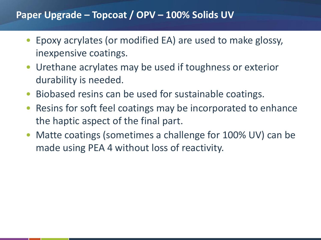#### **Paper Upgrade – Topcoat / OPV – 100% Solids UV**

- Epoxy acrylates (or modified EA) are used to make glossy, inexpensive coatings.
- Urethane acrylates may be used if toughness or exterior durability is needed.
- Biobased resins can be used for sustainable coatings.
- Resins for soft feel coatings may be incorporated to enhance the haptic aspect of the final part.
- Matte coatings (sometimes a challenge for 100% UV) can be made using PEA 4 without loss of reactivity.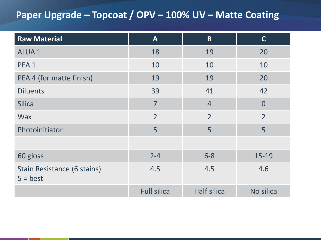# **Paper Upgrade – Topcoat / OPV – 100% UV – Matte Coating**

| <b>Raw Material</b>                       | A                  | $\overline{B}$     | $\mathbf C$    |
|-------------------------------------------|--------------------|--------------------|----------------|
| <b>ALUA1</b>                              | 18                 | 19                 | 20             |
| PEA <sub>1</sub>                          | 10                 | 10                 | 10             |
| PEA 4 (for matte finish)                  | 19                 | 19                 | 20             |
| <b>Diluents</b>                           | 39                 | 41                 | 42             |
| <b>Silica</b>                             | 7                  | $\overline{4}$     | $\Omega$       |
| <b>Wax</b>                                | $\overline{2}$     | $\overline{2}$     | $\overline{2}$ |
| Photoinitiator                            | 5                  | 5                  | 5              |
|                                           |                    |                    |                |
| 60 gloss                                  | $2 - 4$            | $6 - 8$            | $15 - 19$      |
| Stain Resistance (6 stains)<br>$5 = best$ | 4.5                | 4.5                | 4.6            |
|                                           | <b>Full silica</b> | <b>Half silica</b> | No silica      |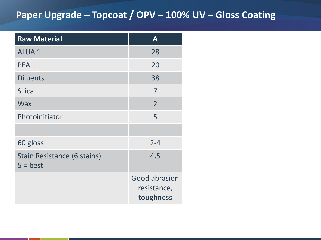# **Paper Upgrade – Topcoat / OPV – 100% UV – Gloss Coating**

| <b>Raw Material</b>                       | $\mathbf{A}$                                     |
|-------------------------------------------|--------------------------------------------------|
| <b>ALUA1</b>                              | 28                                               |
| PEA <sub>1</sub>                          | 20                                               |
| <b>Diluents</b>                           | 38                                               |
| <b>Silica</b>                             | 7                                                |
| <b>Wax</b>                                | $\overline{2}$                                   |
| Photoinitiator                            | 5                                                |
|                                           |                                                  |
| 60 gloss                                  | $2 - 4$                                          |
| Stain Resistance (6 stains)<br>$5 = best$ | 4.5                                              |
|                                           | <b>Good abrasion</b><br>resistance,<br>toughness |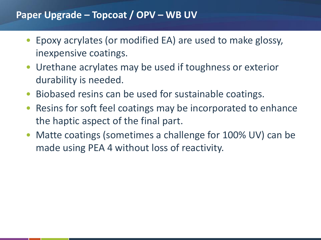#### **Paper Upgrade – Topcoat / OPV – WB UV**

- Epoxy acrylates (or modified EA) are used to make glossy, inexpensive coatings.
- Urethane acrylates may be used if toughness or exterior durability is needed.
- Biobased resins can be used for sustainable coatings.
- Resins for soft feel coatings may be incorporated to enhance the haptic aspect of the final part.
- Matte coatings (sometimes a challenge for 100% UV) can be made using PEA 4 without loss of reactivity.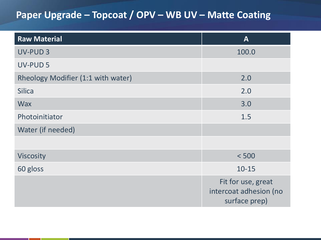# **Paper Upgrade – Topcoat / OPV – WB UV – Matte Coating**

| <b>Raw Material</b>                | $\mathbf{A}$                                                  |
|------------------------------------|---------------------------------------------------------------|
| UV-PUD <sub>3</sub>                | 100.0                                                         |
| <b>UV-PUD 5</b>                    |                                                               |
| Rheology Modifier (1:1 with water) | 2.0                                                           |
| <b>Silica</b>                      | 2.0                                                           |
| <b>Wax</b>                         | 3.0                                                           |
| Photoinitiator                     | 1.5                                                           |
| Water (if needed)                  |                                                               |
|                                    |                                                               |
| <b>Viscosity</b>                   | < 500                                                         |
| 60 gloss                           | $10 - 15$                                                     |
|                                    | Fit for use, great<br>intercoat adhesion (no<br>surface prep) |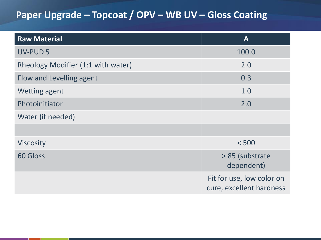# **Paper Upgrade – Topcoat / OPV – WB UV – Gloss Coating**

| <b>Raw Material</b>                | $\mathbf{A}$                                          |
|------------------------------------|-------------------------------------------------------|
| <b>UV-PUD 5</b>                    | 100.0                                                 |
| Rheology Modifier (1:1 with water) | 2.0                                                   |
| Flow and Levelling agent           | 0.3                                                   |
| <b>Wetting agent</b>               | 1.0                                                   |
| Photoinitiator                     | 2.0                                                   |
| Water (if needed)                  |                                                       |
|                                    |                                                       |
| <b>Viscosity</b>                   | < 500                                                 |
| <b>60 Gloss</b>                    | > 85 (substrate<br>dependent)                         |
|                                    | Fit for use, low color on<br>cure, excellent hardness |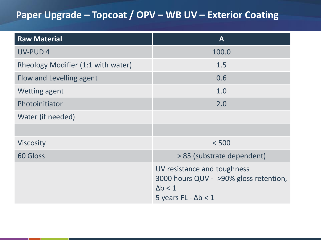# **Paper Upgrade – Topcoat / OPV – WB UV – Exterior Coating**

| <b>Raw Material</b>                | $\mathbf{A}$                                                                                                           |
|------------------------------------|------------------------------------------------------------------------------------------------------------------------|
| <b>UV-PUD4</b>                     | 100.0                                                                                                                  |
| Rheology Modifier (1:1 with water) | 1.5                                                                                                                    |
| Flow and Levelling agent           | 0.6                                                                                                                    |
| <b>Wetting agent</b>               | 1.0                                                                                                                    |
| Photoinitiator                     | 2.0                                                                                                                    |
| Water (if needed)                  |                                                                                                                        |
|                                    |                                                                                                                        |
| <b>Viscosity</b>                   | < 500                                                                                                                  |
| <b>60 Gloss</b>                    | > 85 (substrate dependent)                                                                                             |
|                                    | UV resistance and toughness<br>3000 hours QUV - >90% gloss retention,<br>$\Delta b < 1$<br>5 years FL - $\Delta b < 1$ |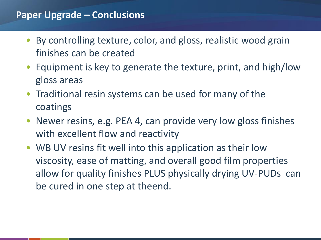#### **Paper Upgrade – Conclusions**

- By controlling texture, color, and gloss, realistic wood grain finishes can be created
- Equipment is key to generate the texture, print, and high/low gloss areas
- Traditional resin systems can be used for many of the coatings
- Newer resins, e.g. PEA 4, can provide very low gloss finishes with excellent flow and reactivity
- WB UV resins fit well into this application as their low viscosity, ease of matting, and overall good film properties allow for quality finishes PLUS physically drying UV-PUDs can be cured in one step at theend.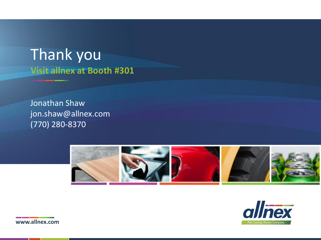# **Visit allnex at Booth #301** Thank you

Jonathan Shaw jon.shaw@allnex.com (770) 280-8370





**www.allnex.com**